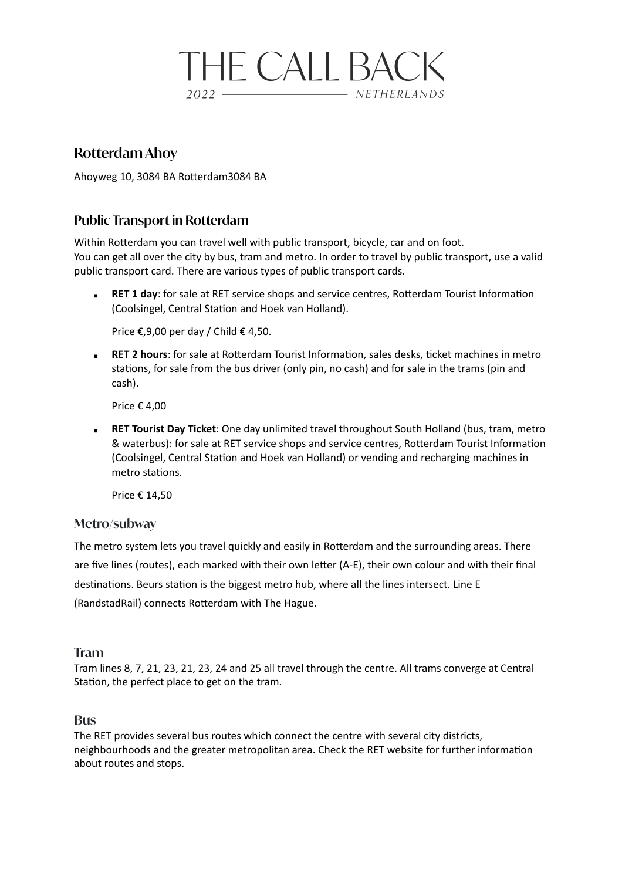# **THE CALL BACK**  $2022 -$ - NETHERLANDS

## **Rotterdam Ahoy**

Ahoyweg 10, 3084 BA Rotterdam3084 BA

## **Public Transport in Rotterdam**

Within Rotterdam you can travel well with public transport, bicycle, car and on foot. You can get all over the city by bus, tram and metro. In order to travel by public transport, use a valid public transport card. There are various types of public transport cards.

**RET 1 day**: for sale at RET service shops and service centres, Rotterdam Tourist Information (Coolsingel, Central Station and Hoek van Holland).

Price €,9,00 per day / Child € 4,50.

**EXECT 2 hours:** for sale at Rotterdam Tourist Information, sales desks, ticket machines in metro stations, for sale from the bus driver (only pin, no cash) and for sale in the trams (pin and cash).

Price € 4,00

**EXECT Tourist Day Ticket:** One day unlimited travel throughout South Holland (bus, tram, metro & waterbus): for sale at RET service shops and service centres, Rotterdam Tourist Information (Coolsingel, Central Station and Hoek van Holland) or vending and recharging machines in metro stations.

Price € 14,50

### **Metro/subway**

The metro system lets you travel quickly and easily in Rotterdam and the surrounding areas. There are five lines (routes), each marked with their own letter (A-E), their own colour and with their final destinations. Beurs station is the biggest metro hub, where all the lines intersect. Line E (RandstadRail) connects Rotterdam with The Hague.

#### **Tram**

Tram lines 8, 7, 21, 23, 21, 23, 24 and 25 all travel through the centre. All trams converge at Central Station, the perfect place to get on the tram.

#### **Bus**

The RET provides several bus routes which connect the centre with several city districts, neighbourhoods and the greater metropolitan area. Check the RET website for further information about routes and stops.